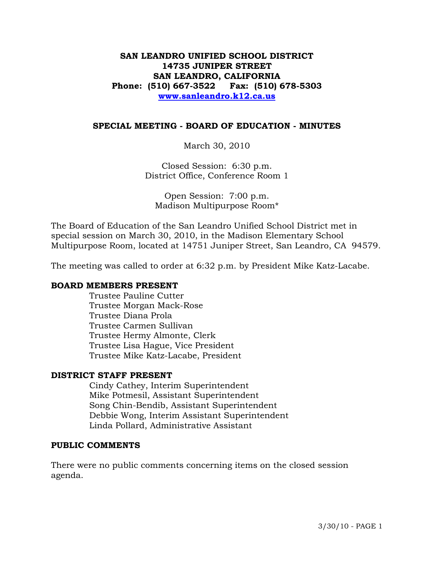## **SAN LEANDRO UNIFIED SCHOOL DISTRICT 14735 JUNIPER STREET SAN LEANDRO, CALIFORNIA Phone: (510) 667-3522 Fax: (510) 678-5303 [www.sanleandro.k12.ca.us](http://www.sanleandro.k12.ca.us/)**

#### **SPECIAL MEETING - BOARD OF EDUCATION - MINUTES**

March 30, 2010

Closed Session: 6:30 p.m. District Office, Conference Room 1

Open Session: 7:00 p.m. Madison Multipurpose Room\*

The Board of Education of the San Leandro Unified School District met in special session on March 30, 2010, in the Madison Elementary School Multipurpose Room, located at 14751 Juniper Street, San Leandro, CA 94579.

The meeting was called to order at 6:32 p.m. by President Mike Katz-Lacabe.

#### **BOARD MEMBERS PRESENT**

Trustee Pauline Cutter Trustee Morgan Mack-Rose Trustee Diana Prola Trustee Carmen Sullivan Trustee Hermy Almonte, Clerk Trustee Lisa Hague, Vice President Trustee Mike Katz-Lacabe, President

#### **DISTRICT STAFF PRESENT**

Cindy Cathey, Interim Superintendent Mike Potmesil, Assistant Superintendent Song Chin-Bendib, Assistant Superintendent Debbie Wong, Interim Assistant Superintendent Linda Pollard, Administrative Assistant

#### **PUBLIC COMMENTS**

There were no public comments concerning items on the closed session agenda.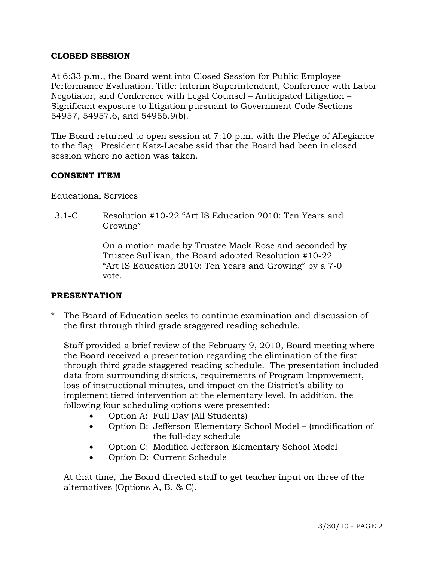## **CLOSED SESSION**

At 6:33 p.m., the Board went into Closed Session for Public Employee Performance Evaluation, Title: Interim Superintendent, Conference with Labor Negotiator, and Conference with Legal Counsel – Anticipated Litigation – Significant exposure to litigation pursuant to Government Code Sections 54957, 54957.6, and 54956.9(b).

The Board returned to open session at 7:10 p.m. with the Pledge of Allegiance to the flag. President Katz-Lacabe said that the Board had been in closed session where no action was taken.

### **CONSENT ITEM**

### Educational Services

3.1-C Resolution #10-22 "Art IS Education 2010: Ten Years and Growing"

> On a motion made by Trustee Mack-Rose and seconded by Trustee Sullivan, the Board adopted Resolution #10-22 "Art IS Education 2010: Ten Years and Growing" by a 7-0 vote.

### **PRESENTATION**

\* The Board of Education seeks to continue examination and discussion of the first through third grade staggered reading schedule.

 Staff provided a brief review of the February 9, 2010, Board meeting where the Board received a presentation regarding the elimination of the first through third grade staggered reading schedule. The presentation included data from surrounding districts, requirements of Program Improvement, loss of instructional minutes, and impact on the District's ability to implement tiered intervention at the elementary level. In addition, the following four scheduling options were presented:

- Option A: Full Day (All Students)
- Option B: Jefferson Elementary School Model (modification of the full-day schedule
- Option C: Modified Jefferson Elementary School Model
- Option D: Current Schedule

 At that time, the Board directed staff to get teacher input on three of the alternatives (Options A, B, & C).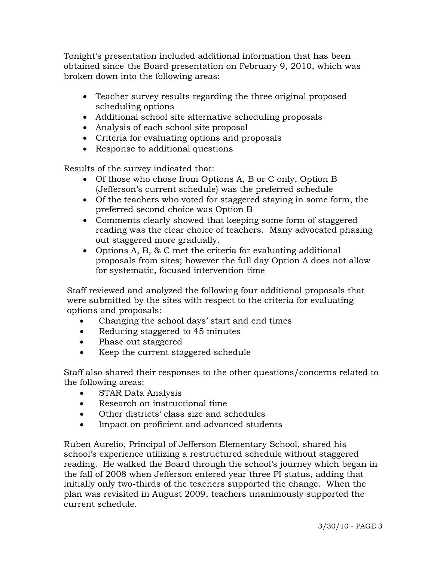Tonight's presentation included additional information that has been obtained since the Board presentation on February 9, 2010, which was broken down into the following areas:

- Teacher survey results regarding the three original proposed scheduling options
- Additional school site alternative scheduling proposals
- Analysis of each school site proposal
- Criteria for evaluating options and proposals
- Response to additional questions

Results of the survey indicated that:

- Of those who chose from Options A, B or C only, Option B (Jefferson's current schedule) was the preferred schedule
- Of the teachers who voted for staggered staying in some form, the preferred second choice was Option B
- Comments clearly showed that keeping some form of staggered reading was the clear choice of teachers. Many advocated phasing out staggered more gradually.
- Options A, B, & C met the criteria for evaluating additional proposals from sites; however the full day Option A does not allow for systematic, focused intervention time

 Staff reviewed and analyzed the following four additional proposals that were submitted by the sites with respect to the criteria for evaluating options and proposals:

- Changing the school days' start and end times
- Reducing staggered to 45 minutes
- Phase out staggered
- Keep the current staggered schedule

 Staff also shared their responses to the other questions/concerns related to the following areas:

- STAR Data Analysis
- Research on instructional time
- Other districts' class size and schedules
- Impact on proficient and advanced students

 Ruben Aurelio, Principal of Jefferson Elementary School, shared his school's experience utilizing a restructured schedule without staggered reading. He walked the Board through the school's journey which began in the fall of 2008 when Jefferson entered year three PI status, adding that initially only two-thirds of the teachers supported the change. When the plan was revisited in August 2009, teachers unanimously supported the current schedule.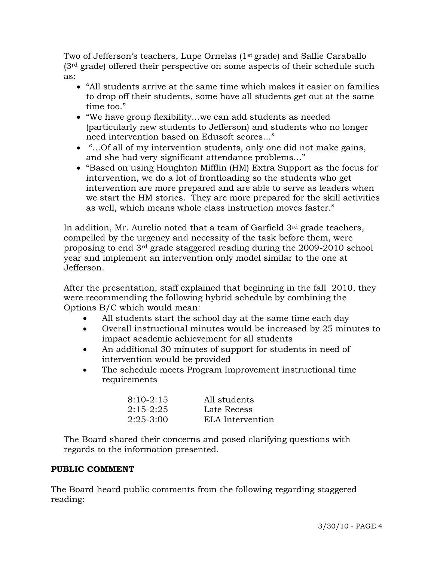Two of Jefferson's teachers, Lupe Ornelas (1<sup>st</sup> grade) and Sallie Caraballo  $(3<sup>rd</sup> grad)$  offered their perspective on some aspects of their schedule such as:

- "All students arrive at the same time which makes it easier on families to drop off their students, some have all students get out at the same time too."
- "We have group flexibility…we can add students as needed (particularly new students to Jefferson) and students who no longer need intervention based on Edusoft scores…"
- "... Of all of my intervention students, only one did not make gains, and she had very significant attendance problems…"
- "Based on using Houghton Mifflin (HM) Extra Support as the focus for intervention, we do a lot of frontloading so the students who get intervention are more prepared and are able to serve as leaders when we start the HM stories. They are more prepared for the skill activities as well, which means whole class instruction moves faster."

In addition, Mr. Aurelio noted that a team of Garfield 3<sup>rd</sup> grade teachers, compelled by the urgency and necessity of the task before them, were proposing to end 3rd grade staggered reading during the 2009-2010 school year and implement an intervention only model similar to the one at Jefferson.

 After the presentation, staff explained that beginning in the fall 2010, they were recommending the following hybrid schedule by combining the Options B/C which would mean:

- All students start the school day at the same time each day
- Overall instructional minutes would be increased by 25 minutes to impact academic achievement for all students
- An additional 30 minutes of support for students in need of intervention would be provided
- The schedule meets Program Improvement instructional time requirements

| $8:10-2:15$ | All students     |
|-------------|------------------|
| $2:15-2:25$ | Late Recess      |
| $2:25-3:00$ | ELA Intervention |

 The Board shared their concerns and posed clarifying questions with regards to the information presented.

# **PUBLIC COMMENT**

The Board heard public comments from the following regarding staggered reading: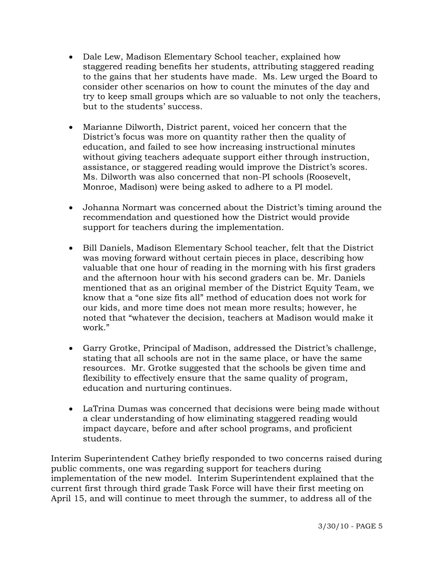- Dale Lew, Madison Elementary School teacher, explained how staggered reading benefits her students, attributing staggered reading to the gains that her students have made. Ms. Lew urged the Board to consider other scenarios on how to count the minutes of the day and try to keep small groups which are so valuable to not only the teachers, but to the students' success.
- Marianne Dilworth, District parent, voiced her concern that the District's focus was more on quantity rather then the quality of education, and failed to see how increasing instructional minutes without giving teachers adequate support either through instruction, assistance, or staggered reading would improve the District's scores. Ms. Dilworth was also concerned that non-PI schools (Roosevelt, Monroe, Madison) were being asked to adhere to a PI model.
- Johanna Normart was concerned about the District's timing around the recommendation and questioned how the District would provide support for teachers during the implementation.
- Bill Daniels, Madison Elementary School teacher, felt that the District was moving forward without certain pieces in place, describing how valuable that one hour of reading in the morning with his first graders and the afternoon hour with his second graders can be. Mr. Daniels mentioned that as an original member of the District Equity Team, we know that a "one size fits all" method of education does not work for our kids, and more time does not mean more results; however, he noted that "whatever the decision, teachers at Madison would make it work."
- Garry Grotke, Principal of Madison, addressed the District's challenge, stating that all schools are not in the same place, or have the same resources. Mr. Grotke suggested that the schools be given time and flexibility to effectively ensure that the same quality of program, education and nurturing continues.
- LaTrina Dumas was concerned that decisions were being made without a clear understanding of how eliminating staggered reading would impact daycare, before and after school programs, and proficient students.

Interim Superintendent Cathey briefly responded to two concerns raised during public comments, one was regarding support for teachers during implementation of the new model. Interim Superintendent explained that the current first through third grade Task Force will have their first meeting on April 15, and will continue to meet through the summer, to address all of the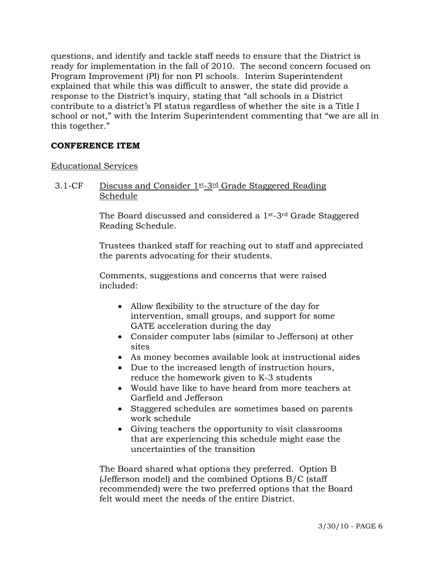questions, and identify and tackle staff needs to ensure that the District is ready for implementation in the fall of 2010. The second concern focused on Program Improvement (PI) for non PI schools. Interim Superintendent explained that while this was difficult to answer, the state did provide a response to the District's inquiry, stating that "all schools in a District contribute to a district's PI status regardless of whether the site is a Title I school or not," with the Interim Superintendent commenting that "we are all in this together."

## **CONFERENCE ITEM**

## Educational Services

3.1-CF Discuss and Consider 1st-3rd Grade Staggered Reading Schedule

> The Board discussed and considered a 1st-3rd Grade Staggered Reading Schedule.

Trustees thanked staff for reaching out to staff and appreciated the parents advocating for their students.

Comments, suggestions and concerns that were raised included:

- Allow flexibility to the structure of the day for intervention, small groups, and support for some GATE acceleration during the day
- Consider computer labs (similar to Jefferson) at other sites
- As money becomes available look at instructional aides
- Due to the increased length of instruction hours, reduce the homework given to K-3 students
- Would have like to have heard from more teachers at Garfield and Jefferson
- Staggered schedules are sometimes based on parents work schedule
- Giving teachers the opportunity to visit classrooms that are experiencing this schedule might ease the uncertainties of the transition

The Board shared what options they preferred. Option B (Jefferson model) and the combined Options B/C (staff recommended) were the two preferred options that the Board felt would meet the needs of the entire District.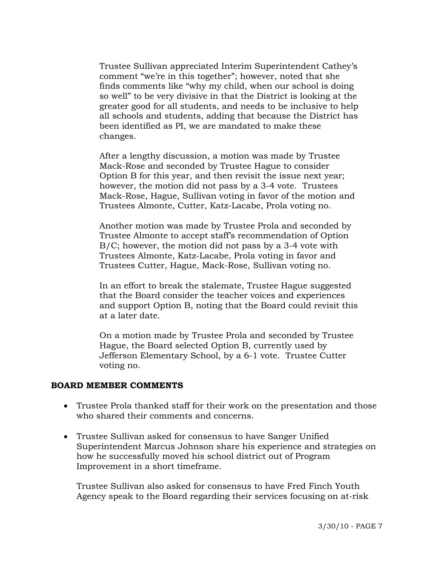Trustee Sullivan appreciated Interim Superintendent Cathey's comment "we're in this together"; however, noted that she finds comments like "why my child, when our school is doing so well" to be very divisive in that the District is looking at the greater good for all students, and needs to be inclusive to help all schools and students, adding that because the District has been identified as PI, we are mandated to make these changes.

After a lengthy discussion, a motion was made by Trustee Mack-Rose and seconded by Trustee Hague to consider Option B for this year, and then revisit the issue next year; however, the motion did not pass by a 3-4 vote. Trustees Mack-Rose, Hague, Sullivan voting in favor of the motion and Trustees Almonte, Cutter, Katz-Lacabe, Prola voting no.

Another motion was made by Trustee Prola and seconded by Trustee Almonte to accept staff's recommendation of Option B/C; however, the motion did not pass by a 3-4 vote with Trustees Almonte, Katz-Lacabe, Prola voting in favor and Trustees Cutter, Hague, Mack-Rose, Sullivan voting no.

In an effort to break the stalemate, Trustee Hague suggested that the Board consider the teacher voices and experiences and support Option B, noting that the Board could revisit this at a later date.

On a motion made by Trustee Prola and seconded by Trustee Hague, the Board selected Option B, currently used by Jefferson Elementary School, by a 6-1 vote. Trustee Cutter voting no.

### **BOARD MEMBER COMMENTS**

- Trustee Prola thanked staff for their work on the presentation and those who shared their comments and concerns.
- Trustee Sullivan asked for consensus to have Sanger Unified Superintendent Marcus Johnson share his experience and strategies on how he successfully moved his school district out of Program Improvement in a short timeframe.

 Trustee Sullivan also asked for consensus to have Fred Finch Youth Agency speak to the Board regarding their services focusing on at-risk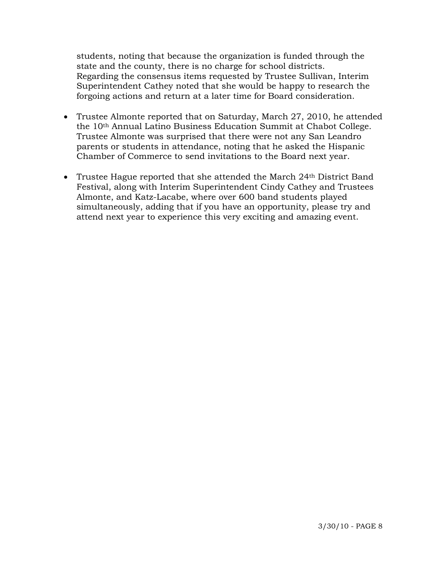students, noting that because the organization is funded through the state and the county, there is no charge for school districts. Regarding the consensus items requested by Trustee Sullivan, Interim Superintendent Cathey noted that she would be happy to research the forgoing actions and return at a later time for Board consideration.

- Trustee Almonte reported that on Saturday, March 27, 2010, he attended the 10th Annual Latino Business Education Summit at Chabot College. Trustee Almonte was surprised that there were not any San Leandro parents or students in attendance, noting that he asked the Hispanic Chamber of Commerce to send invitations to the Board next year.
- Trustee Hague reported that she attended the March 24<sup>th</sup> District Band Festival, along with Interim Superintendent Cindy Cathey and Trustees Almonte, and Katz-Lacabe, where over 600 band students played simultaneously, adding that if you have an opportunity, please try and attend next year to experience this very exciting and amazing event.